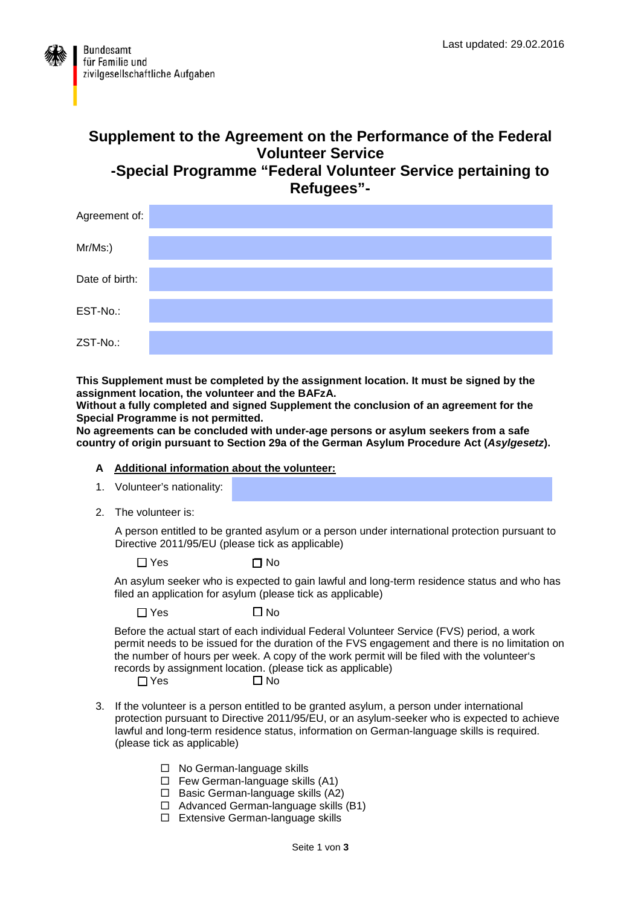

# **Supplement to the Agreement on the Performance of the Federal Volunteer Service -Special Programme "Federal Volunteer Service pertaining to Refugees"-**



**This Supplement must be completed by the assignment location. It must be signed by the assignment location, the volunteer and the BAFzA.** 

**Without a fully completed and signed Supplement the conclusion of an agreement for the Special Programme is not permitted.** 

**No agreements can be concluded with under-age persons or asylum seekers from a safe country of origin pursuant to Section 29a of the German Asylum Procedure Act (***Asylgesetz***).**

#### **A Additional information about the volunteer:**

- 1. Volunteer's nationality:
- 2. The volunteer is:

A person entitled to be granted asylum or a person under international protection pursuant to Directive 2011/95/EU (please tick as applicable)

 $\Box$  Yes  $\Box$  No

An asylum seeker who is expected to gain lawful and long-term residence status and who has filed an application for asylum (please tick as applicable)

 $\Box$  Yes  $\Box$  No

Before the actual start of each individual Federal Volunteer Service (FVS) period, a work permit needs to be issued for the duration of the FVS engagement and there is no limitation on the number of hours per week. A copy of the work permit will be filed with the volunteer's records by assignment location. (please tick as applicable)<br> $\square$  Yes  $\square$  No

- $\n *N*$ es
- 3. If the volunteer is a person entitled to be granted asylum, a person under international protection pursuant to Directive 2011/95/EU, or an asylum-seeker who is expected to achieve lawful and long-term residence status, information on German-language skills is required. (please tick as applicable)
	- □ No German-language skills
	- $\Box$  Few German-language skills (A1)
	- $\Box$  Basic German-language skills (A2)
	- $\Box$  Advanced German-language skills (B1)
	- □ Extensive German-language skills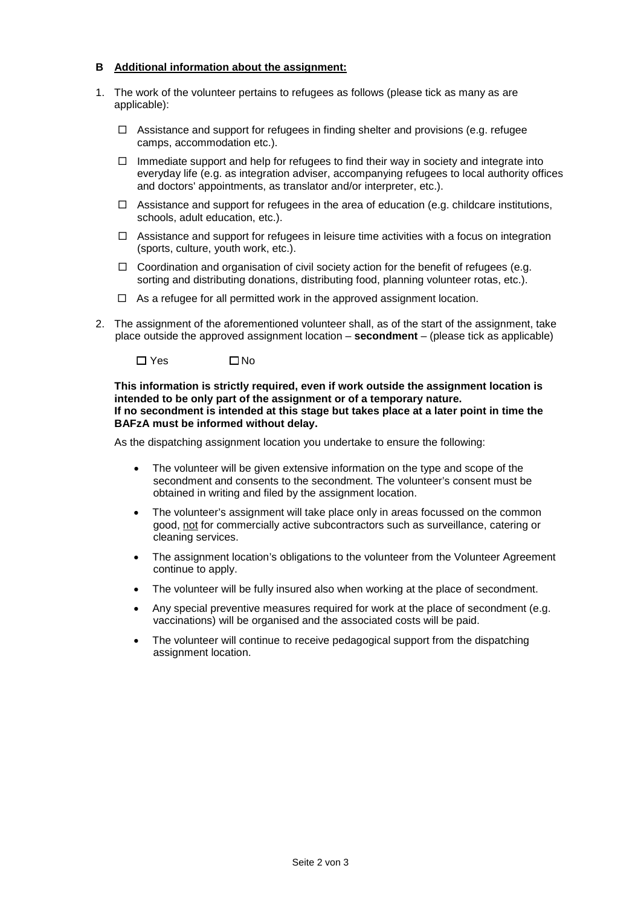#### **B Additional information about the assignment:**

- 1. The work of the volunteer pertains to refugees as follows (please tick as many as are applicable):
	- $\Box$  Assistance and support for refugees in finding shelter and provisions (e.g. refugee camps, accommodation etc.).
	- $\Box$  Immediate support and help for refugees to find their way in society and integrate into everyday life (e.g. as integration adviser, accompanying refugees to local authority offices and doctors' appointments, as translator and/or interpreter, etc.).
	- $\Box$  Assistance and support for refugees in the area of education (e.g. childcare institutions, schools, adult education, etc.).
	- $\Box$  Assistance and support for refugees in leisure time activities with a focus on integration (sports, culture, youth work, etc.).
	- $\Box$  Coordination and organisation of civil society action for the benefit of refugees (e.g. sorting and distributing donations, distributing food, planning volunteer rotas, etc.).
	- $\Box$  As a refugee for all permitted work in the approved assignment location.
- 2. The assignment of the aforementioned volunteer shall, as of the start of the assignment, take place outside the approved assignment location – **secondment** – (please tick as applicable)

 $\n **W**$ 

**This information is strictly required, even if work outside the assignment location is intended to be only part of the assignment or of a temporary nature. If no secondment is intended at this stage but takes place at a later point in time the BAFzA must be informed without delay.**

As the dispatching assignment location you undertake to ensure the following:

- The volunteer will be given extensive information on the type and scope of the secondment and consents to the secondment. The volunteer's consent must be obtained in writing and filed by the assignment location.
- The volunteer's assignment will take place only in areas focussed on the common good, not for commercially active subcontractors such as surveillance, catering or cleaning services.
- The assignment location's obligations to the volunteer from the Volunteer Agreement continue to apply.
- The volunteer will be fully insured also when working at the place of secondment.
- Any special preventive measures required for work at the place of secondment (e.g. vaccinations) will be organised and the associated costs will be paid.
- The volunteer will continue to receive pedagogical support from the dispatching assignment location.